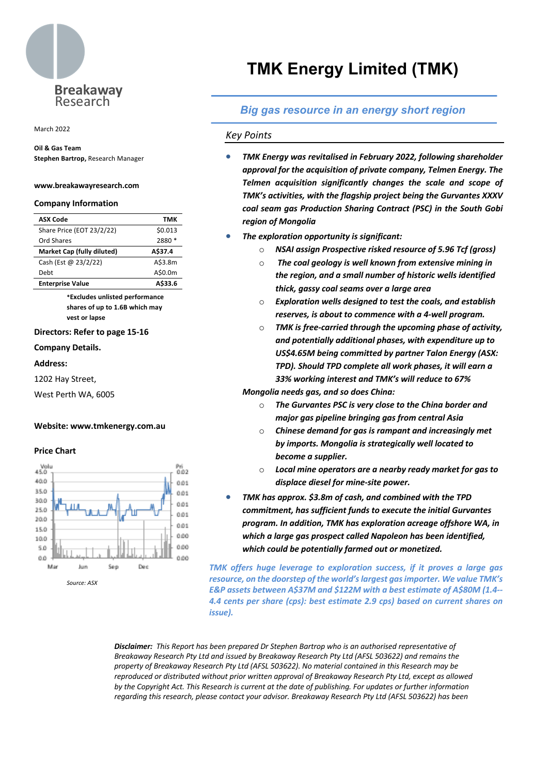

March 2022

## **Oil & Gas Team**

**Stephen Bartrop,** Research Manager

#### **www.breakawayresearch.com**

#### **Company Information**

| <b>ASX Code</b>            | тмк     |
|----------------------------|---------|
| Share Price (EOT 23/2/22)  | \$0.013 |
| Ord Shares                 | 2880 *  |
| Market Cap (fully diluted) | A\$37.4 |
| Cash (Est @ 23/2/22)       | A\$3.8m |
| Debt                       | A\$0.0m |
| <b>Enterprise Value</b>    | A\$33.6 |

**\*Excludes unlisted performance shares of up to 1.6B which may vest or lapse**

#### **Directors: Refer to page 15-16**

**Company Details.**

#### **Address:**

1202 Hay Street,

West Perth WA, 6005

#### **Website: www.tmkenergy.com.au**

#### **Price Chart**



# **TMK Energy Limited (TMK)**

## *Big gas resource in an energy short region*

#### *Key Points*

- *TMK Energy was revitalised in February 2022, following shareholder approval for the acquisition of private company, Telmen Energy. The Telmen acquisition significantly changes the scale and scope of TMK's activities, with the flagship project being the Gurvantes XXXV coal seam gas Production Sharing Contract (PSC) in the South Gobi region of Mongolia*
- *The exploration opportunity is significant:*
	- o *NSAI assign Prospective risked resource of 5.96 Tcf (gross)*
	- o *The coal geology is well known from extensive mining in the region, and a small number of historic wells identified thick, gassy coal seams over a large area*
	- o *Exploration wells designed to test the coals, and establish reserves, is about to commence with a 4-well program.*
	- o *TMK is free-carried through the upcoming phase of activity, and potentially additional phases, with expenditure up to US\$4.65M being committed by partner Talon Energy (ASX: TPD). Should TPD complete all work phases, it will earn a 33% working interest and TMK's will reduce to 67%*

*Mongolia needs gas, and so does China:*

- o *The Gurvantes PSC is very close to the China border and major gas pipeline bringing gas from central Asia*
- o *Chinese demand for gas is rampant and increasingly met by imports. Mongolia is strategically well located to become a supplier.*
- o *Local mine operators are a nearby ready market for gas to displace diesel for mine-site power.*
- *TMK has approx. \$3.8m of cash, and combined with the TPD commitment, has sufficient funds to execute the initial Gurvantes program. In addition, TMK has exploration acreage offshore WA, in which a large gas prospect called Napoleon has been identified, which could be potentially farmed out or monetized.*

*TMK offers huge leverage to exploration success, if it proves a large gas resource, on the doorstep of the world's largest gas importer. We value TMK's E&P assets between A\$37M and \$122M with a best estimate of A\$80M (1.4-- 4.4 cents per share (cps): best estimate 2.9 cps) based on current shares on issue).*

*Disclaimer: This Report has been prepared Dr Stephen Bartrop who is an authorised representative of Breakaway Research Pty Ltd and issued by Breakaway Research Pty Ltd (AFSL 503622) and remains the property of Breakaway Research Pty Ltd (AFSL 503622). No material contained in this Research may be reproduced or distributed without prior written approval of Breakaway Research Pty Ltd, except as allowed by the Copyright Act. This Research is current at the date of publishing. For updates or further information regarding this research, please contact your advisor. Breakaway Research Pty Ltd (AFSL 503622) has been*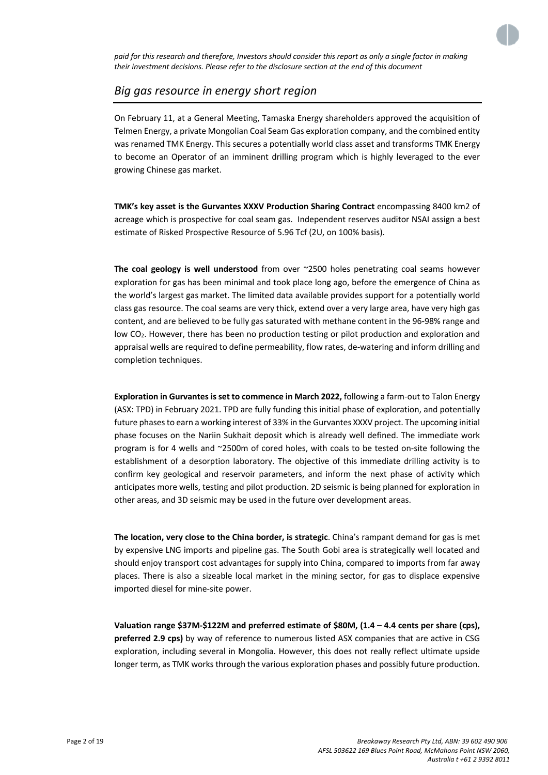

*paid for this research and therefore, Investors should consider this report as only a single factor in making their investment decisions. Please refer to the disclosure section at the end of this document*

## *Big gas resource in energy short region*

On February 11, at a General Meeting, Tamaska Energy shareholders approved the acquisition of Telmen Energy, a private Mongolian Coal Seam Gas exploration company, and the combined entity was renamed TMK Energy. This secures a potentially world class asset and transforms TMK Energy to become an Operator of an imminent drilling program which is highly leveraged to the ever growing Chinese gas market.

**TMK's key asset is the Gurvantes XXXV Production Sharing Contract** encompassing 8400 km2 of acreage which is prospective for coal seam gas. Independent reserves auditor NSAI assign a best estimate of Risked Prospective Resource of 5.96 Tcf (2U, on 100% basis).

**The coal geology is well understood** from over ~2500 holes penetrating coal seams however exploration for gas has been minimal and took place long ago, before the emergence of China as the world's largest gas market. The limited data available provides support for a potentially world class gas resource. The coal seams are very thick, extend over a very large area, have very high gas content, and are believed to be fully gas saturated with methane content in the 96-98% range and low CO2. However, there has been no production testing or pilot production and exploration and appraisal wells are required to define permeability, flow rates, de-watering and inform drilling and completion techniques.

**Exploration in Gurvantes is set to commence in March 2022,** following a farm-out to Talon Energy (ASX: TPD) in February 2021. TPD are fully funding this initial phase of exploration, and potentially future phases to earn a working interest of 33% in the Gurvantes XXXV project. The upcoming initial phase focuses on the Nariin Sukhait deposit which is already well defined. The immediate work program is for 4 wells and ~2500m of cored holes, with coals to be tested on-site following the establishment of a desorption laboratory. The objective of this immediate drilling activity is to confirm key geological and reservoir parameters, and inform the next phase of activity which anticipates more wells, testing and pilot production. 2D seismic is being planned for exploration in other areas, and 3D seismic may be used in the future over development areas.

**The location, very close to the China border, is strategic**. China's rampant demand for gas is met by expensive LNG imports and pipeline gas. The South Gobi area is strategically well located and should enjoy transport cost advantages for supply into China, compared to imports from far away places. There is also a sizeable local market in the mining sector, for gas to displace expensive imported diesel for mine-site power.

**Valuation range \$37M-\$122M and preferred estimate of \$80M, (1.4 – 4.4 cents per share (cps), preferred 2.9 cps)** by way of reference to numerous listed ASX companies that are active in CSG exploration, including several in Mongolia. However, this does not really reflect ultimate upside longer term, as TMK works through the various exploration phases and possibly future production.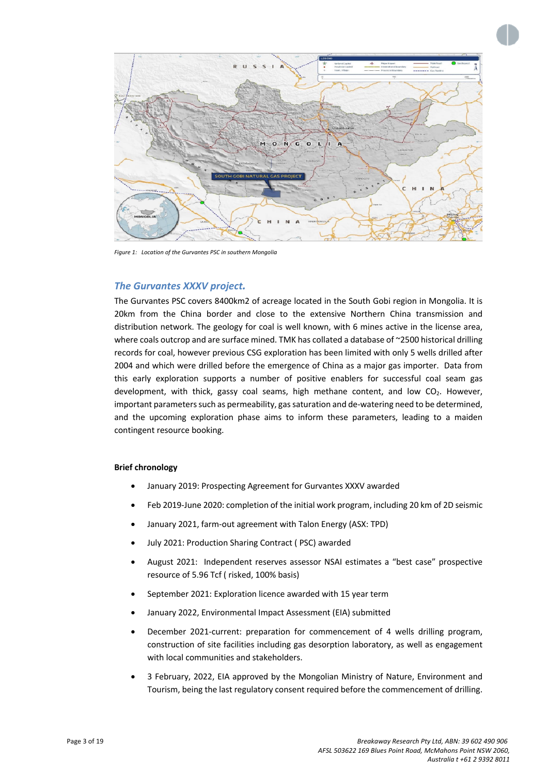

*Figure 1: Location of the Gurvantes PSC in southern Mongolia*

## *The Gurvantes XXXV project.*

The Gurvantes PSC covers 8400km2 of acreage located in the South Gobi region in Mongolia. It is 20km from the China border and close to the extensive Northern China transmission and distribution network. The geology for coal is well known, with 6 mines active in the license area, where coals outcrop and are surface mined. TMK has collated a database of ~2500 historical drilling records for coal, however previous CSG exploration has been limited with only 5 wells drilled after 2004 and which were drilled before the emergence of China as a major gas importer. Data from this early exploration supports a number of positive enablers for successful coal seam gas development, with thick, gassy coal seams, high methane content, and low  $CO<sub>2</sub>$ . However, important parameters such as permeability, gas saturation and de-watering need to be determined, and the upcoming exploration phase aims to inform these parameters, leading to a maiden contingent resource booking.

#### **Brief chronology**

- January 2019: Prospecting Agreement for Gurvantes XXXV awarded
- Feb 2019-June 2020: completion of the initial work program, including 20 km of 2D seismic
- January 2021, farm-out agreement with Talon Energy (ASX: TPD)
- July 2021: Production Sharing Contract ( PSC) awarded
- August 2021: Independent reserves assessor NSAI estimates a "best case" prospective resource of 5.96 Tcf ( risked, 100% basis)
- September 2021: Exploration licence awarded with 15 year term
- January 2022, Environmental Impact Assessment (EIA) submitted
- December 2021-current: preparation for commencement of 4 wells drilling program, construction of site facilities including gas desorption laboratory, as well as engagement with local communities and stakeholders.
- 3 February, 2022, EIA approved by the Mongolian Ministry of Nature, Environment and Tourism, being the last regulatory consent required before the commencement of drilling.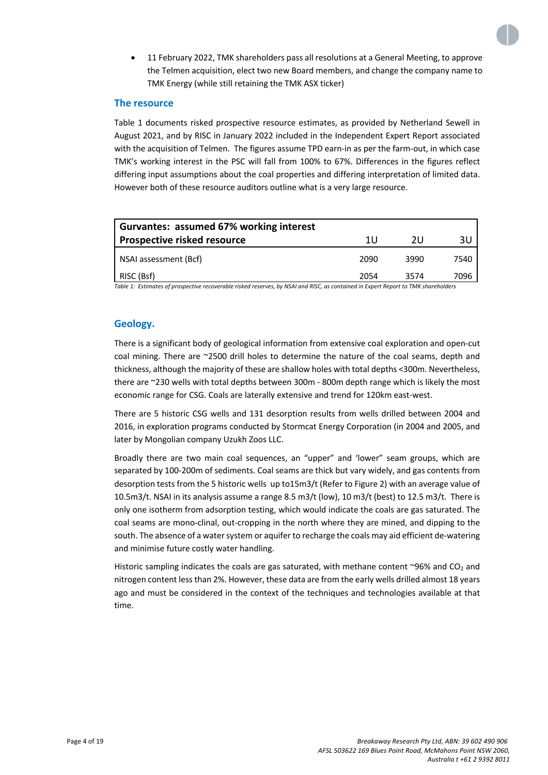

• 11 February 2022, TMK shareholders pass all resolutions at a General Meeting, to approve the Telmen acquisition, elect two new Board members, and change the company name to TMK Energy (while still retaining the TMK ASX ticker)

## **The resource**

Table 1 documents risked prospective resource estimates, as provided by Netherland Sewell in August 2021, and by RISC in January 2022 included in the Independent Expert Report associated with the acquisition of Telmen. The figures assume TPD earn-in as per the farm-out, in which case TMK's working interest in the PSC will fall from 100% to 67%. Differences in the figures reflect differing input assumptions about the coal properties and differing interpretation of limited data. However both of these resource auditors outline what is a very large resource.

| Gurvantes: assumed 67% working interest |      |      |      |
|-----------------------------------------|------|------|------|
| <b>Prospective risked resource</b>      | 1 U  | 2U   | 3U   |
| NSAI assessment (Bcf)                   | 2090 | 3990 | 7540 |
| RISC (Bsf)                              | 2054 | 3574 | 7096 |

*Table 1: Estimates of prospective recoverable risked reserves, by NSAI and RISC, as contained in Expert Report to TMK shareholders*

## **Geology.**

There is a significant body of geological information from extensive coal exploration and open-cut coal mining. There are ~2500 drill holes to determine the nature of the coal seams, depth and thickness, although the majority of these are shallow holes with total depths <300m. Nevertheless, there are ~230 wells with total depths between 300m - 800m depth range which is likely the most economic range for CSG. Coals are laterally extensive and trend for 120km east-west.

There are 5 historic CSG wells and 131 desorption results from wells drilled between 2004 and 2016, in exploration programs conducted by Stormcat Energy Corporation (in 2004 and 2005, and later by Mongolian company Uzukh Zoos LLC.

Broadly there are two main coal sequences, an "upper" and 'lower" seam groups, which are separated by 100-200m of sediments. Coal seams are thick but vary widely, and gas contents from desorption tests from the 5 historic wells up to15m3/t (Refer to Figure 2) with an average value of 10.5m3/t. NSAI in its analysis assume a range 8.5 m3/t (low), 10 m3/t (best) to 12.5 m3/t. There is only one isotherm from adsorption testing, which would indicate the coals are gas saturated. The coal seams are mono-clinal, out-cropping in the north where they are mined, and dipping to the south. The absence of a water system or aquifer to recharge the coals may aid efficient de-watering and minimise future costly water handling.

Historic sampling indicates the coals are gas saturated, with methane content ~96% and  $CO<sub>2</sub>$  and nitrogen content less than 2%. However, these data are from the early wells drilled almost 18 years ago and must be considered in the context of the techniques and technologies available at that time.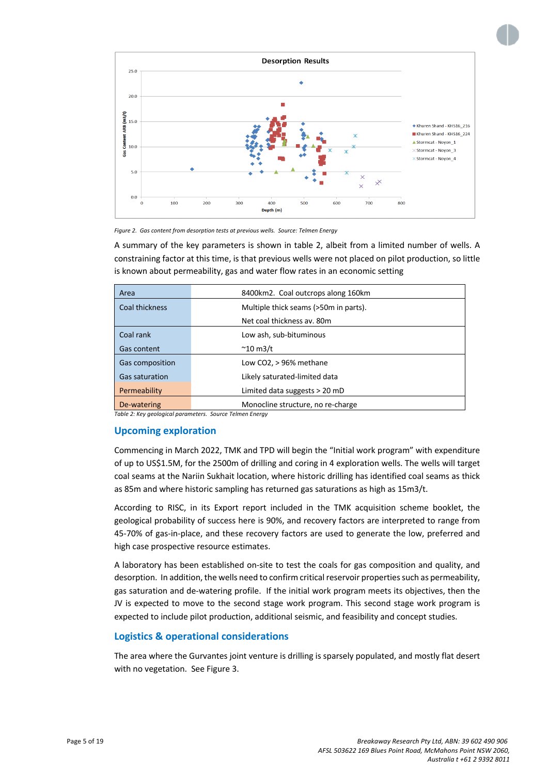

*Figure 2. Gas content from desorption tests at previous wells. Source: Telmen Energy*

A summary of the key parameters is shown in table 2, albeit from a limited number of wells. A constraining factor at this time, is that previous wells were not placed on pilot production, so little is known about permeability, gas and water flow rates in an economic setting

| Area                  | 8400km2. Coal outcrops along 160km    |  |  |  |  |
|-----------------------|---------------------------------------|--|--|--|--|
| Coal thickness        | Multiple thick seams (>50m in parts). |  |  |  |  |
|                       | Net coal thickness av. 80m            |  |  |  |  |
| Coal rank             | Low ash, sub-bituminous               |  |  |  |  |
| <b>Gas content</b>    | $^{\sim}$ 10 m3/t                     |  |  |  |  |
| Gas composition       | Low CO2, > 96% methane                |  |  |  |  |
| <b>Gas saturation</b> | Likely saturated-limited data         |  |  |  |  |
| Permeability          | Limited data suggests > 20 mD         |  |  |  |  |
| De-watering           | Monocline structure, no re-charge     |  |  |  |  |

*Table 2: Key geological parameters. Source Telmen Energy*

## **Upcoming exploration**

Commencing in March 2022, TMK and TPD will begin the "Initial work program" with expenditure of up to US\$1.5M, for the 2500m of drilling and coring in 4 exploration wells. The wells will target coal seams at the Nariin Sukhait location, where historic drilling has identified coal seams as thick as 85m and where historic sampling has returned gas saturations as high as 15m3/t.

According to RISC, in its Export report included in the TMK acquisition scheme booklet, the geological probability of success here is 90%, and recovery factors are interpreted to range from 45-70% of gas-in-place, and these recovery factors are used to generate the low, preferred and high case prospective resource estimates.

A laboratory has been established on-site to test the coals for gas composition and quality, and desorption. In addition, the wells need to confirm critical reservoir properties such as permeability, gas saturation and de-watering profile. If the initial work program meets its objectives, then the JV is expected to move to the second stage work program. This second stage work program is expected to include pilot production, additional seismic, and feasibility and concept studies.

## **Logistics & operational considerations**

The area where the Gurvantes joint venture is drilling is sparsely populated, and mostly flat desert with no vegetation. See Figure 3.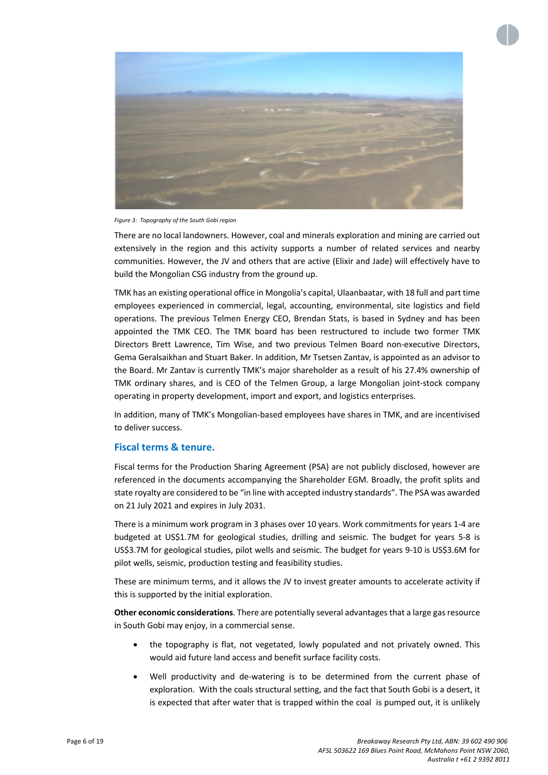



*Figure 3: Topography of the South Gobi region*

There are no local landowners. However, coal and minerals exploration and mining are carried out extensively in the region and this activity supports a number of related services and nearby communities. However, the JV and others that are active (Elixir and Jade) will effectively have to build the Mongolian CSG industry from the ground up.

TMK has an existing operational office in Mongolia's capital, Ulaanbaatar, with 18 full and part time employees experienced in commercial, legal, accounting, environmental, site logistics and field operations. The previous Telmen Energy CEO, Brendan Stats, is based in Sydney and has been appointed the TMK CEO. The TMK board has been restructured to include two former TMK Directors Brett Lawrence, Tim Wise, and two previous Telmen Board non-executive Directors, Gema Geralsaikhan and Stuart Baker. In addition, Mr Tsetsen Zantav, is appointed as an advisor to the Board. Mr Zantav is currently TMK's major shareholder as a result of his 27.4% ownership of TMK ordinary shares, and is CEO of the Telmen Group, a large Mongolian joint-stock company operating in property development, import and export, and logistics enterprises.

In addition, many of TMK's Mongolian-based employees have shares in TMK, and are incentivised to deliver success.

## **Fiscal terms & tenure.**

Fiscal terms for the Production Sharing Agreement (PSA) are not publicly disclosed, however are referenced in the documents accompanying the Shareholder EGM. Broadly, the profit splits and state royalty are considered to be "in line with accepted industry standards". The PSA was awarded on 21 July 2021 and expires in July 2031.

There is a minimum work program in 3 phases over 10 years. Work commitments for years 1-4 are budgeted at US\$1.7M for geological studies, drilling and seismic. The budget for years 5-8 is US\$3.7M for geological studies, pilot wells and seismic. The budget for years 9-10 is US\$3.6M for pilot wells, seismic, production testing and feasibility studies.

These are minimum terms, and it allows the JV to invest greater amounts to accelerate activity if this is supported by the initial exploration.

**Other economic considerations**. There are potentially several advantages that a large gas resource in South Gobi may enjoy, in a commercial sense.

- the topography is flat, not vegetated, lowly populated and not privately owned. This would aid future land access and benefit surface facility costs.
- Well productivity and de-watering is to be determined from the current phase of exploration. With the coals structural setting, and the fact that South Gobi is a desert, it is expected that after water that is trapped within the coal is pumped out, it is unlikely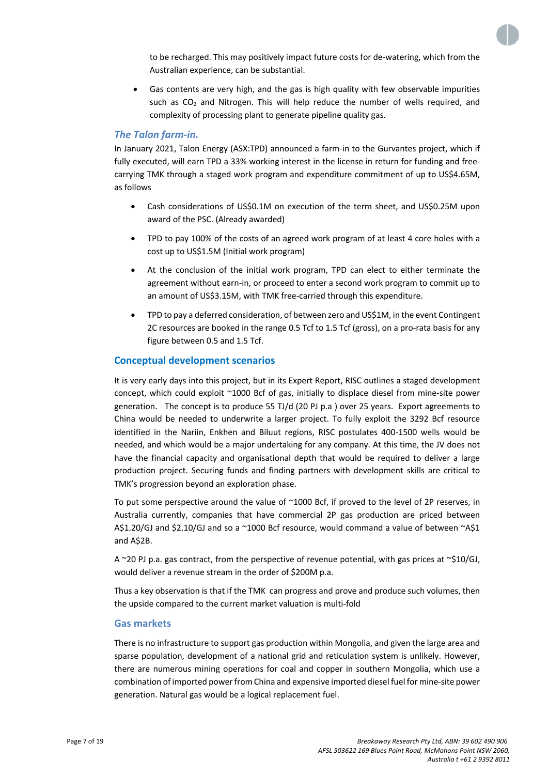to be recharged. This may positively impact future costs for de-watering, which from the Australian experience, can be substantial.

• Gas contents are very high, and the gas is high quality with few observable impurities such as  $CO<sub>2</sub>$  and Nitrogen. This will help reduce the number of wells required, and complexity of processing plant to generate pipeline quality gas.

## *The Talon farm-in.*

In January 2021, Talon Energy (ASX:TPD) announced a farm-in to the Gurvantes project, which if fully executed, will earn TPD a 33% working interest in the license in return for funding and freecarrying TMK through a staged work program and expenditure commitment of up to US\$4.65M, as follows

- Cash considerations of US\$0.1M on execution of the term sheet, and US\$0.25M upon award of the PSC. (Already awarded)
- TPD to pay 100% of the costs of an agreed work program of at least 4 core holes with a cost up to US\$1.5M (Initial work program)
- At the conclusion of the initial work program, TPD can elect to either terminate the agreement without earn-in, or proceed to enter a second work program to commit up to an amount of US\$3.15M, with TMK free-carried through this expenditure.
- TPD to pay a deferred consideration, of between zero and US\$1M, in the event Contingent 2C resources are booked in the range 0.5 Tcf to 1.5 Tcf (gross), on a pro-rata basis for any figure between 0.5 and 1.5 Tcf.

## **Conceptual development scenarios**

It is very early days into this project, but in its Expert Report, RISC outlines a staged development concept, which could exploit ~1000 Bcf of gas, initially to displace diesel from mine-site power generation. The concept is to produce 55 TJ/d (20 PJ p.a ) over 25 years. Export agreements to China would be needed to underwrite a larger project. To fully exploit the 3292 Bcf resource identified in the Nariin, Enkhen and Biluut regions, RISC postulates 400-1500 wells would be needed, and which would be a major undertaking for any company. At this time, the JV does not have the financial capacity and organisational depth that would be required to deliver a large production project. Securing funds and finding partners with development skills are critical to TMK's progression beyond an exploration phase.

To put some perspective around the value of ~1000 Bcf, if proved to the level of 2P reserves, in Australia currently, companies that have commercial 2P gas production are priced between A\$1.20/GJ and \$2.10/GJ and so a ~1000 Bcf resource, would command a value of between ~A\$1 and A\$2B.

A ~20 PJ p.a. gas contract, from the perspective of revenue potential, with gas prices at ~\$10/GJ, would deliver a revenue stream in the order of \$200M p.a.

Thus a key observation is that if the TMK can progress and prove and produce such volumes, then the upside compared to the current market valuation is multi-fold

#### **Gas markets**

There is no infrastructure to support gas production within Mongolia, and given the large area and sparse population, development of a national grid and reticulation system is unlikely. However, there are numerous mining operations for coal and copper in southern Mongolia, which use a combination of imported power from China and expensive imported diesel fuel for mine-site power generation. Natural gas would be a logical replacement fuel.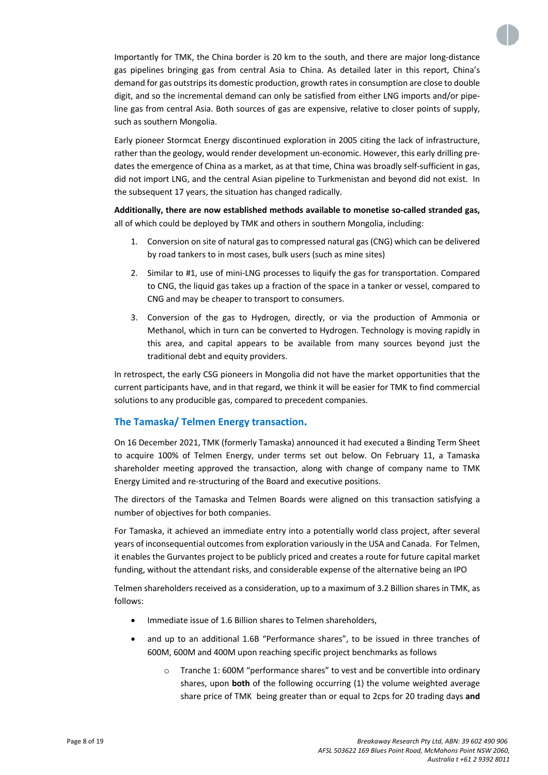Importantly for TMK, the China border is 20 km to the south, and there are major long-distance gas pipelines bringing gas from central Asia to China. As detailed later in this report, China's demand for gas outstrips its domestic production, growth rates in consumption are close to double digit, and so the incremental demand can only be satisfied from either LNG imports and/or pipeline gas from central Asia. Both sources of gas are expensive, relative to closer points of supply, such as southern Mongolia.

Early pioneer Stormcat Energy discontinued exploration in 2005 citing the lack of infrastructure, rather than the geology, would render development un-economic. However, this early drilling predates the emergence of China as a market, as at that time, China was broadly self-sufficient in gas, did not import LNG, and the central Asian pipeline to Turkmenistan and beyond did not exist. In the subsequent 17 years, the situation has changed radically.

**Additionally, there are now established methods available to monetise so-called stranded gas,**  all of which could be deployed by TMK and others in southern Mongolia, including:

- 1. Conversion on site of natural gas to compressed natural gas (CNG) which can be delivered by road tankers to in most cases, bulk users (such as mine sites)
- 2. Similar to #1, use of mini-LNG processes to liquify the gas for transportation. Compared to CNG, the liquid gas takes up a fraction of the space in a tanker or vessel, compared to CNG and may be cheaper to transport to consumers.
- 3. Conversion of the gas to Hydrogen, directly, or via the production of Ammonia or Methanol, which in turn can be converted to Hydrogen. Technology is moving rapidly in this area, and capital appears to be available from many sources beyond just the traditional debt and equity providers.

In retrospect, the early CSG pioneers in Mongolia did not have the market opportunities that the current participants have, and in that regard, we think it will be easier for TMK to find commercial solutions to any producible gas, compared to precedent companies.

## **The Tamaska/ Telmen Energy transaction.**

On 16 December 2021, TMK (formerly Tamaska) announced it had executed a Binding Term Sheet to acquire 100% of Telmen Energy, under terms set out below. On February 11, a Tamaska shareholder meeting approved the transaction, along with change of company name to TMK Energy Limited and re-structuring of the Board and executive positions.

The directors of the Tamaska and Telmen Boards were aligned on this transaction satisfying a number of objectives for both companies.

For Tamaska, it achieved an immediate entry into a potentially world class project, after several years of inconsequential outcomes from exploration variously in the USA and Canada. For Telmen, it enables the Gurvantes project to be publicly priced and creates a route for future capital market funding, without the attendant risks, and considerable expense of the alternative being an IPO

Telmen shareholders received as a consideration, up to a maximum of 3.2 Billion shares in TMK, as follows:

- Immediate issue of 1.6 Billion shares to Telmen shareholders,
- and up to an additional 1.6B "Performance shares", to be issued in three tranches of 600M, 600M and 400M upon reaching specific project benchmarks as follows
	- o Tranche 1: 600M "performance shares" to vest and be convertible into ordinary shares, upon **both** of the following occurring (1) the volume weighted average share price of TMK being greater than or equal to 2cps for 20 trading days **and**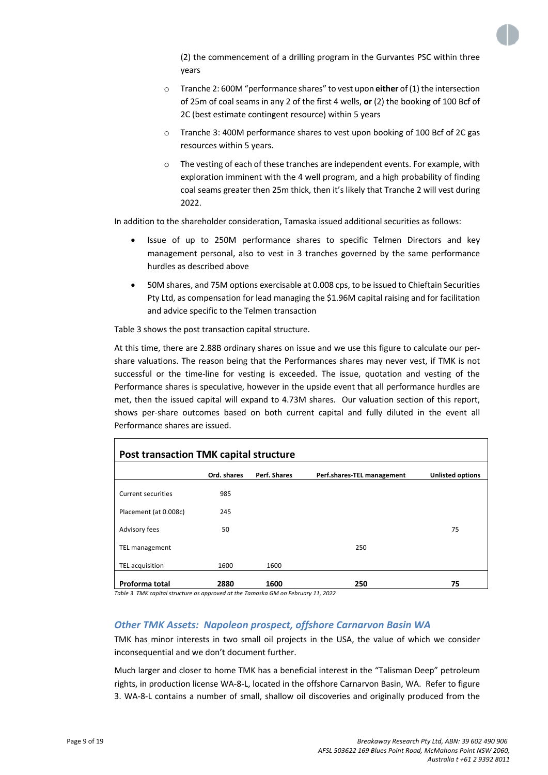

(2) the commencement of a drilling program in the Gurvantes PSC within three years

- o Tranche 2: 600M "performance shares" to vest upon **either** of (1) the intersection of 25m of coal seams in any 2 of the first 4 wells, **or** (2) the booking of 100 Bcf of 2C (best estimate contingent resource) within 5 years
- o Tranche 3: 400M performance shares to vest upon booking of 100 Bcf of 2C gas resources within 5 years.
- o The vesting of each of these tranches are independent events. For example, with exploration imminent with the 4 well program, and a high probability of finding coal seams greater then 25m thick, then it's likely that Tranche 2 will vest during 2022.

In addition to the shareholder consideration, Tamaska issued additional securities as follows:

- Issue of up to 250M performance shares to specific Telmen Directors and key management personal, also to vest in 3 tranches governed by the same performance hurdles as described above
- 50M shares, and 75M options exercisable at 0.008 cps, to be issued to Chieftain Securities Pty Ltd, as compensation for lead managing the \$1.96M capital raising and for facilitation and advice specific to the Telmen transaction

Table 3 shows the post transaction capital structure.

At this time, there are 2.88B ordinary shares on issue and we use this figure to calculate our pershare valuations. The reason being that the Performances shares may never vest, if TMK is not successful or the time-line for vesting is exceeded. The issue, quotation and vesting of the Performance shares is speculative, however in the upside event that all performance hurdles are met, then the issued capital will expand to 4.73M shares. Our valuation section of this report, shows per-share outcomes based on both current capital and fully diluted in the event all Performance shares are issued.

| Post transaction TMK capital structure |             |              |                            |                         |  |  |  |
|----------------------------------------|-------------|--------------|----------------------------|-------------------------|--|--|--|
|                                        | Ord. shares | Perf. Shares | Perf.shares-TEL management | <b>Unlisted options</b> |  |  |  |
| <b>Current securities</b>              | 985         |              |                            |                         |  |  |  |
| Placement (at 0.008c)                  | 245         |              |                            |                         |  |  |  |
| Advisory fees                          | 50          |              |                            | 75                      |  |  |  |
| TEL management                         |             |              | 250                        |                         |  |  |  |
| TEL acquisition                        | 1600        | 1600         |                            |                         |  |  |  |
| Proforma total                         | 2880        | 1600         | 250                        | 75                      |  |  |  |

*Table 3 TMK capital structure as approved at the Tamaska GM on February 11, 2022*

## *Other TMK Assets: Napoleon prospect, offshore Carnarvon Basin WA*

TMK has minor interests in two small oil projects in the USA, the value of which we consider inconsequential and we don't document further.

Much larger and closer to home TMK has a beneficial interest in the "Talisman Deep" petroleum rights, in production license WA-8-L, located in the offshore Carnarvon Basin, WA. Refer to figure 3. WA-8-L contains a number of small, shallow oil discoveries and originally produced from the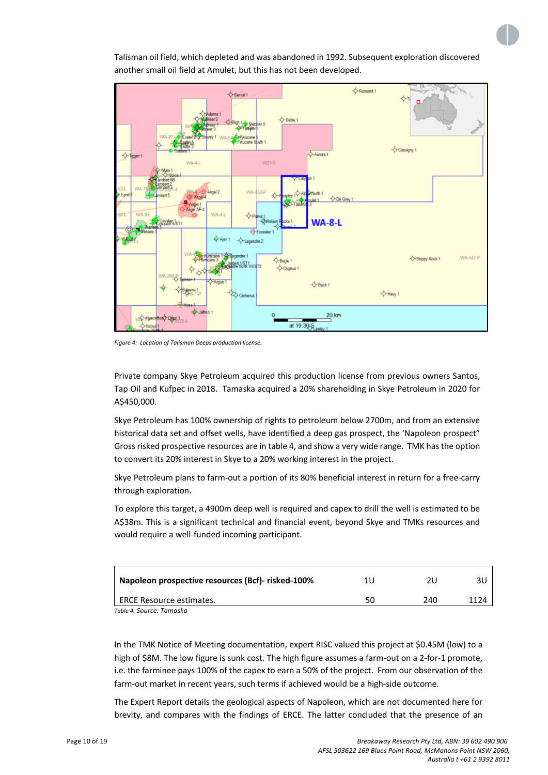

Talisman oil field, which depleted and was abandoned in 1992. Subsequent exploration discovered another small oil field at Amulet, but this has not been developed.

*Figure 4: Location of Talisman Deeps production license.*

Private company Skye Petroleum acquired this production license from previous owners Santos, Tap Oil and Kufpec in 2018. Tamaska acquired a 20% shareholding in Skye Petroleum in 2020 for A\$450,000.

Skye Petroleum has 100% ownership of rights to petroleum below 2700m, and from an extensive historical data set and offset wells, have identified a deep gas prospect, the 'Napoleon prospect" Gross risked prospective resources are in table 4, and show a very wide range. TMK has the option to convert its 20% interest in Skye to a 20% working interest in the project.

Skye Petroleum plans to farm-out a portion of its 80% beneficial interest in return for a free-carry through exploration.

To explore this target, a 4900m deep well is required and capex to drill the well is estimated to be A\$38m. This is a significant technical and financial event, beyond Skye and TMKs resources and would require a well-funded incoming participant.

| Napoleon prospective resources (Bcf)- risked-100% | 1 U | 21 I |      |
|---------------------------------------------------|-----|------|------|
| ERCE Resource estimates.                          | 50  | 240  | 1174 |

*Table 4. Source: Tamaska*

In the TMK Notice of Meeting documentation, expert RISC valued this project at \$0.45M (low) to a high of \$8M. The low figure is sunk cost. The high figure assumes a farm-out on a 2-for-1 promote, i.e. the farminee pays 100% of the capex to earn a 50% of the project. From our observation of the farm-out market in recent years, such terms if achieved would be a high-side outcome.

The Expert Report details the geological aspects of Napoleon, which are not documented here for brevity, and compares with the findings of ERCE. The latter concluded that the presence of an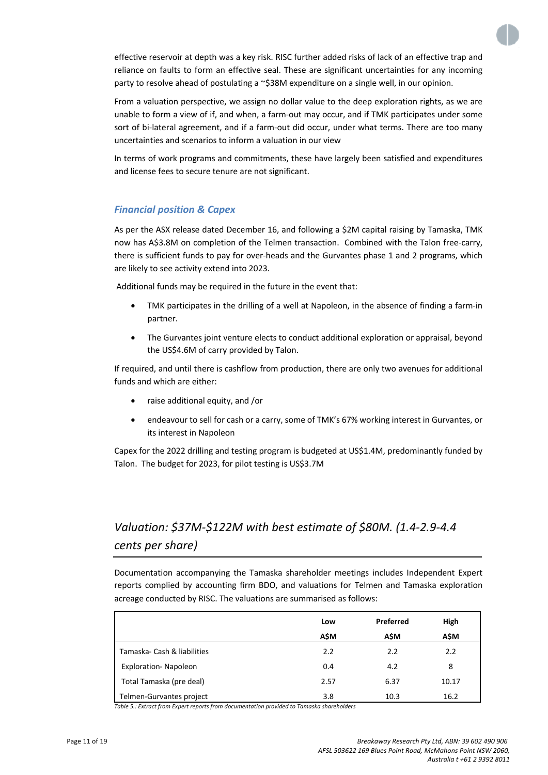

effective reservoir at depth was a key risk. RISC further added risks of lack of an effective trap and reliance on faults to form an effective seal. These are significant uncertainties for any incoming party to resolve ahead of postulating a ~\$38M expenditure on a single well, in our opinion.

From a valuation perspective, we assign no dollar value to the deep exploration rights, as we are unable to form a view of if, and when, a farm-out may occur, and if TMK participates under some sort of bi-lateral agreement, and if a farm-out did occur, under what terms. There are too many uncertainties and scenarios to inform a valuation in our view

In terms of work programs and commitments, these have largely been satisfied and expenditures and license fees to secure tenure are not significant.

## *Financial position & Capex*

As per the ASX release dated December 16, and following a \$2M capital raising by Tamaska, TMK now has A\$3.8M on completion of the Telmen transaction. Combined with the Talon free-carry, there is sufficient funds to pay for over-heads and the Gurvantes phase 1 and 2 programs, which are likely to see activity extend into 2023.

Additional funds may be required in the future in the event that:

- TMK participates in the drilling of a well at Napoleon, in the absence of finding a farm-in partner.
- The Gurvantes joint venture elects to conduct additional exploration or appraisal, beyond the US\$4.6M of carry provided by Talon.

If required, and until there is cashflow from production, there are only two avenues for additional funds and which are either:

- raise additional equity, and /or
- endeavour to sell for cash or a carry, some of TMK's 67% working interest in Gurvantes, or its interest in Napoleon

Capex for the 2022 drilling and testing program is budgeted at US\$1.4M, predominantly funded by Talon. The budget for 2023, for pilot testing is US\$3.7M

## *Valuation: \$37M-\$122M with best estimate of \$80M. (1.4-2.9-4.4 cents per share)*

Documentation accompanying the Tamaska shareholder meetings includes Independent Expert reports complied by accounting firm BDO, and valuations for Telmen and Tamaska exploration acreage conducted by RISC. The valuations are summarised as follows:

| Low  |      | High      |
|------|------|-----------|
| A\$M | A\$M | A\$M      |
| 2.2  | 2.2  | 2.2       |
| 0.4  | 4.2  | 8         |
| 2.57 | 6.37 | 10.17     |
| 3.8  | 10.3 | 16.2      |
|      |      | Preferred |

*Table 5.: Extract from Expert reports from documentation provided to Tamaska shareholders*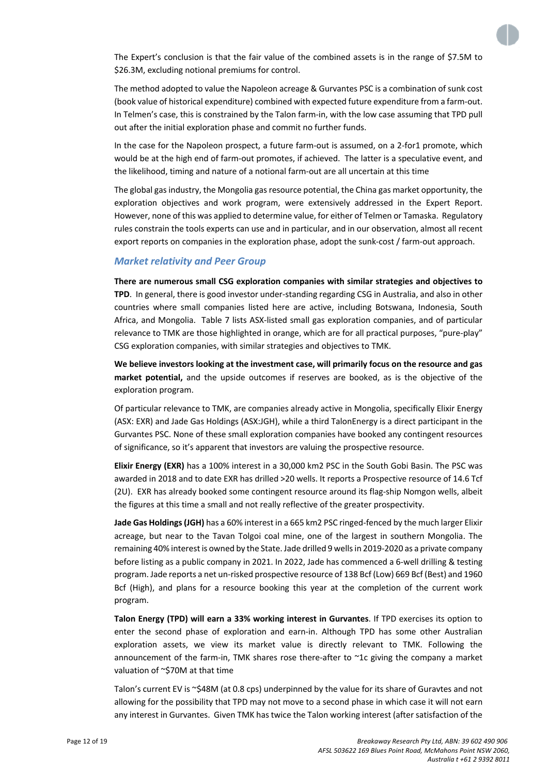

The Expert's conclusion is that the fair value of the combined assets is in the range of \$7.5M to \$26.3M, excluding notional premiums for control.

The method adopted to value the Napoleon acreage & Gurvantes PSC is a combination of sunk cost (book value of historical expenditure) combined with expected future expenditure from a farm-out. In Telmen's case, this is constrained by the Talon farm-in, with the low case assuming that TPD pull out after the initial exploration phase and commit no further funds.

In the case for the Napoleon prospect, a future farm-out is assumed, on a 2-for1 promote, which would be at the high end of farm-out promotes, if achieved. The latter is a speculative event, and the likelihood, timing and nature of a notional farm-out are all uncertain at this time

The global gas industry, the Mongolia gas resource potential, the China gas market opportunity, the exploration objectives and work program, were extensively addressed in the Expert Report. However, none of this was applied to determine value, for either of Telmen or Tamaska. Regulatory rules constrain the tools experts can use and in particular, and in our observation, almost all recent export reports on companies in the exploration phase, adopt the sunk-cost / farm-out approach.

#### *Market relativity and Peer Group*

**There are numerous small CSG exploration companies with similar strategies and objectives to TPD**. In general, there is good investor under-standing regarding CSG in Australia, and also in other countries where small companies listed here are active, including Botswana, Indonesia, South Africa, and Mongolia. Table 7 lists ASX-listed small gas exploration companies, and of particular relevance to TMK are those highlighted in orange, which are for all practical purposes, "pure-play" CSG exploration companies, with similar strategies and objectives to TMK.

**We believe investors looking at the investment case, will primarily focus on the resource and gas market potential,** and the upside outcomes if reserves are booked, as is the objective of the exploration program.

Of particular relevance to TMK, are companies already active in Mongolia, specifically Elixir Energy (ASX: EXR) and Jade Gas Holdings (ASX:JGH), while a third TalonEnergy is a direct participant in the Gurvantes PSC. None of these small exploration companies have booked any contingent resources of significance, so it's apparent that investors are valuing the prospective resource.

**Elixir Energy (EXR)** has a 100% interest in a 30,000 km2 PSC in the South Gobi Basin. The PSC was awarded in 2018 and to date EXR has drilled >20 wells. It reports a Prospective resource of 14.6 Tcf (2U). EXR has already booked some contingent resource around its flag-ship Nomgon wells, albeit the figures at this time a small and not really reflective of the greater prospectivity.

**Jade Gas Holdings(JGH)** has a 60% interest in a 665 km2 PSC ringed-fenced by the much larger Elixir acreage, but near to the Tavan Tolgoi coal mine, one of the largest in southern Mongolia. The remaining 40% interest is owned by the State. Jade drilled 9 wells in 2019-2020 as a private company before listing as a public company in 2021. In 2022, Jade has commenced a 6-well drilling & testing program. Jade reports a net un-risked prospective resource of 138 Bcf (Low) 669 Bcf (Best) and 1960 Bcf (High), and plans for a resource booking this year at the completion of the current work program.

**Talon Energy (TPD) will earn a 33% working interest in Gurvantes**. If TPD exercises its option to enter the second phase of exploration and earn-in. Although TPD has some other Australian exploration assets, we view its market value is directly relevant to TMK. Following the announcement of the farm-in, TMK shares rose there-after to  $\sim$ 1c giving the company a market valuation of ~\$70M at that time

Talon's current EV is ~\$48M (at 0.8 cps) underpinned by the value for its share of Guravtes and not allowing for the possibility that TPD may not move to a second phase in which case it will not earn any interest in Gurvantes. Given TMK has twice the Talon working interest (after satisfaction of the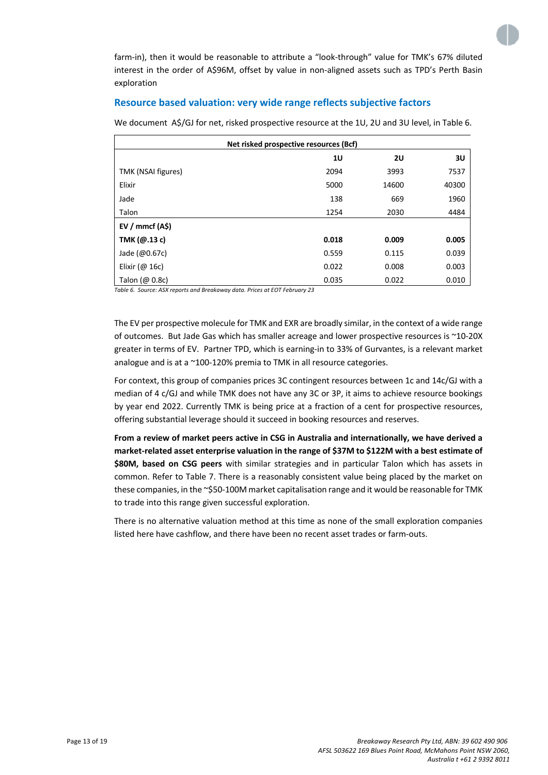

farm-in), then it would be reasonable to attribute a "look-through" value for TMK's 67% diluted interest in the order of A\$96M, offset by value in non-aligned assets such as TPD's Perth Basin exploration

## **Resource based valuation: very wide range reflects subjective factors**

We document A\$/GJ for net, risked prospective resource at the 1U, 2U and 3U level, in Table 6.

| Net risked prospective resources (Bcf) |       |       |       |  |  |  |  |
|----------------------------------------|-------|-------|-------|--|--|--|--|
| 10<br><b>2U</b><br>3U                  |       |       |       |  |  |  |  |
| TMK (NSAI figures)                     | 2094  | 3993  | 7537  |  |  |  |  |
| Elixir                                 | 5000  | 14600 | 40300 |  |  |  |  |
| Jade                                   | 138   | 669   | 1960  |  |  |  |  |
| Talon                                  | 1254  | 2030  | 4484  |  |  |  |  |
| $EV /$ mmcf $(A\$ )                    |       |       |       |  |  |  |  |
| TMK $(Q.13c)$                          | 0.018 | 0.009 | 0.005 |  |  |  |  |
| Jade (@0.67c)                          | 0.559 | 0.115 | 0.039 |  |  |  |  |
| Elixir ( $@16c$ )                      | 0.022 | 0.008 | 0.003 |  |  |  |  |
| Talon $(\varpi 0.8c)$                  | 0.035 | 0.022 | 0.010 |  |  |  |  |

*Table 6. Source: ASX reports and Breakaway data. Prices at EOT February 23*

The EV per prospective molecule for TMK and EXR are broadly similar, in the context of a wide range of outcomes. But Jade Gas which has smaller acreage and lower prospective resources is ~10-20X greater in terms of EV. Partner TPD, which is earning-in to 33% of Gurvantes, is a relevant market analogue and is at a ~100-120% premia to TMK in all resource categories.

For context, this group of companies prices 3C contingent resources between 1c and 14c/GJ with a median of 4 c/GJ and while TMK does not have any 3C or 3P, it aims to achieve resource bookings by year end 2022. Currently TMK is being price at a fraction of a cent for prospective resources, offering substantial leverage should it succeed in booking resources and reserves.

**From a review of market peers active in CSG in Australia and internationally, we have derived a market-related asset enterprise valuation in the range of \$37M to \$122M with a best estimate of \$80M, based on CSG peers** with similar strategies and in particular Talon which has assets in common. Refer to Table 7. There is a reasonably consistent value being placed by the market on these companies, in the ~\$50-100M market capitalisation range and it would be reasonable for TMK to trade into this range given successful exploration.

There is no alternative valuation method at this time as none of the small exploration companies listed here have cashflow, and there have been no recent asset trades or farm-outs.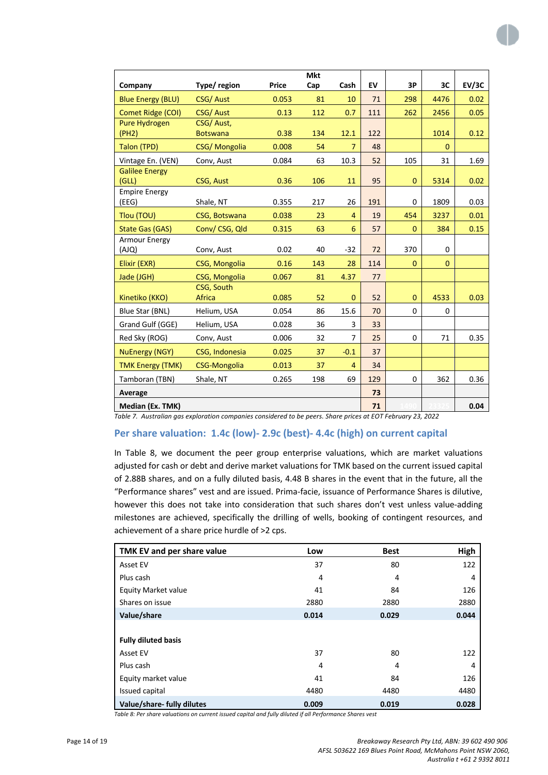|                          |                     |       | <b>Mkt</b> |                |     |              |              |       |
|--------------------------|---------------------|-------|------------|----------------|-----|--------------|--------------|-------|
| Company                  | Type/ region        | Price | Cap        | Cash           | EV  | 3P           | 3C           | EV/3C |
| <b>Blue Energy (BLU)</b> | CSG/Aust            | 0.053 | 81         | 10             | 71  | 298          | 4476         | 0.02  |
| Comet Ridge (COI)        | <b>CSG/Aust</b>     | 0.13  | 112        | 0.7            | 111 | 262          | 2456         | 0.05  |
| <b>Pure Hydrogen</b>     | CSG/Aust,           |       |            |                |     |              |              |       |
| (PH2)                    | <b>Botswana</b>     | 0.38  | 134        | 12.1           | 122 |              | 1014         | 0.12  |
| Talon (TPD)              | CSG/Mongolia        | 0.008 | 54         | $\overline{7}$ | 48  |              | $\Omega$     |       |
| Vintage En. (VEN)        | Conv, Aust          | 0.084 | 63         | 10.3           | 52  | 105          | 31           | 1.69  |
| <b>Galilee Energy</b>    |                     |       |            |                |     |              |              |       |
| (GLL)                    | CSG, Aust           | 0.36  | 106        | 11             | 95  | $\mathbf 0$  | 5314         | 0.02  |
| <b>Empire Energy</b>     |                     |       |            |                |     |              |              |       |
| (EEG)                    | Shale, NT           | 0.355 | 217        | 26             | 191 | 0            | 1809         | 0.03  |
| Tlou (TOU)               | CSG, Botswana       | 0.038 | 23         | 4              | 19  | 454          | 3237         | 0.01  |
| State Gas (GAS)          | Conv/CSG, Qld       | 0.315 | 63         | 6              | 57  | $\mathbf{0}$ | 384          | 0.15  |
| Armour Energy            |                     |       |            |                |     |              |              |       |
| (AJQ)                    | Conv, Aust          | 0.02  | 40         | $-32$          | 72  | 370          | 0            |       |
| Elixir (EXR)             | CSG, Mongolia       | 0.16  | 143        | 28             | 114 | $\mathbf{0}$ | $\mathbf{0}$ |       |
| Jade (JGH)               | CSG, Mongolia       | 0.067 | 81         | 4.37           | 77  |              |              |       |
|                          | CSG, South          |       |            |                |     |              |              |       |
| Kinetiko (KKO)           | Africa              | 0.085 | 52         | $\mathbf{0}$   | 52  | $\mathbf{0}$ | 4533         | 0.03  |
| Blue Star (BNL)          | Helium, USA         | 0.054 | 86         | 15.6           | 70  | 0            | 0            |       |
| Grand Gulf (GGE)         | Helium, USA         | 0.028 | 36         | 3              | 33  |              |              |       |
| Red Sky (ROG)            | Conv, Aust          | 0.006 | 32         | $\overline{7}$ | 25  | 0            | 71           | 0.35  |
| <b>NuEnergy (NGY)</b>    | CSG, Indonesia      | 0.025 | 37         | $-0.1$         | 37  |              |              |       |
| <b>TMK Energy (TMK)</b>  | <b>CSG-Mongolia</b> | 0.013 | 37         | 4              | 34  |              |              |       |
| Tamboran (TBN)           | Shale, NT           | 0.265 | 198        | 69             | 129 | 0            | 362          | 0.36  |
| Average                  |                     |       |            |                | 73  |              |              |       |
| Median (Ex. TMK)         |                     |       |            |                | 71  |              |              | 0.04  |

*Table 7. Australian gas exploration companies considered to be peers. Share prices at EOT February 23, 2022*

## **Per share valuation: 1.4c (low)- 2.9c (best)- 4.4c (high) on current capital**

In Table 8, we document the peer group enterprise valuations, which are market valuations adjusted for cash or debt and derive market valuations for TMK based on the current issued capital of 2.88B shares, and on a fully diluted basis, 4.48 B shares in the event that in the future, all the "Performance shares" vest and are issued. Prima-facie, issuance of Performance Shares is dilutive, however this does not take into consideration that such shares don't vest unless value-adding milestones are achieved, specifically the drilling of wells, booking of contingent resources, and achievement of a share price hurdle of >2 cps.

| TMK EV and per share value | Low   | <b>Best</b> | High  |
|----------------------------|-------|-------------|-------|
| Asset EV                   | 37    | 80          | 122   |
| Plus cash                  | 4     | 4           | 4     |
| <b>Equity Market value</b> | 41    | 84          | 126   |
| Shares on issue            | 2880  | 2880        | 2880  |
| Value/share                | 0.014 | 0.029       | 0.044 |
|                            |       |             |       |
| <b>Fully diluted basis</b> |       |             |       |
| Asset EV                   | 37    | 80          | 122   |
| Plus cash                  | 4     | 4           | 4     |
| Equity market value        | 41    | 84          | 126   |
| Issued capital             | 4480  | 4480        | 4480  |
| Value/share- fully dilutes | 0.009 | 0.019       | 0.028 |

*Table 8: Per share valuations on current issued capital and fully diluted if all Performance Shares vest*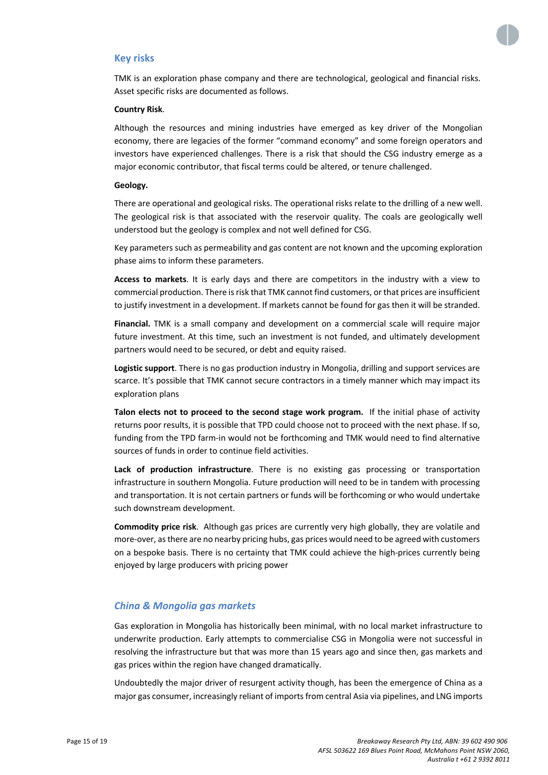

#### **Key risks**

TMK is an exploration phase company and there are technological, geological and financial risks. Asset specific risks are documented as follows.

#### **Country Risk**.

Although the resources and mining industries have emerged as key driver of the Mongolian economy, there are legacies of the former "command economy" and some foreign operators and investors have experienced challenges. There is a risk that should the CSG industry emerge as a major economic contributor, that fiscal terms could be altered, or tenure challenged.

#### **Geology.**

There are operational and geological risks. The operational risks relate to the drilling of a new well. The geological risk is that associated with the reservoir quality. The coals are geologically well understood but the geology is complex and not well defined for CSG.

Key parameters such as permeability and gas content are not known and the upcoming exploration phase aims to inform these parameters.

**Access to markets**. It is early days and there are competitors in the industry with a view to commercial production. There is risk that TMK cannot find customers, or that prices are insufficient to justify investment in a development. If markets cannot be found for gas then it will be stranded.

**Financial.** TMK is a small company and development on a commercial scale will require major future investment. At this time, such an investment is not funded, and ultimately development partners would need to be secured, or debt and equity raised.

**Logistic support**. There is no gas production industry in Mongolia, drilling and support services are scarce. It's possible that TMK cannot secure contractors in a timely manner which may impact its exploration plans

**Talon elects not to proceed to the second stage work program.** If the initial phase of activity returns poor results, it is possible that TPD could choose not to proceed with the next phase. If so, funding from the TPD farm-in would not be forthcoming and TMK would need to find alternative sources of funds in order to continue field activities.

**Lack of production infrastructure**. There is no existing gas processing or transportation infrastructure in southern Mongolia. Future production will need to be in tandem with processing and transportation. It is not certain partners or funds will be forthcoming or who would undertake such downstream development.

**Commodity price risk**. Although gas prices are currently very high globally, they are volatile and more-over, as there are no nearby pricing hubs, gas prices would need to be agreed with customers on a bespoke basis. There is no certainty that TMK could achieve the high-prices currently being enjoyed by large producers with pricing power

#### *China & Mongolia gas markets*

Gas exploration in Mongolia has historically been minimal, with no local market infrastructure to underwrite production. Early attempts to commercialise CSG in Mongolia were not successful in resolving the infrastructure but that was more than 15 years ago and since then, gas markets and gas prices within the region have changed dramatically.

Undoubtedly the major driver of resurgent activity though, has been the emergence of China as a major gas consumer, increasingly reliant of imports from central Asia via pipelines, and LNG imports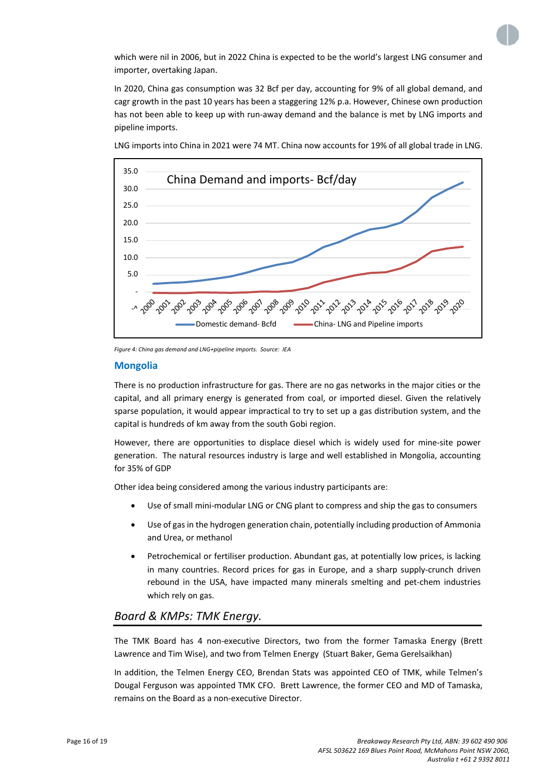

which were nil in 2006, but in 2022 China is expected to be the world's largest LNG consumer and importer, overtaking Japan.

In 2020, China gas consumption was 32 Bcf per day, accounting for 9% of all global demand, and cagr growth in the past 10 years has been a staggering 12% p.a. However, Chinese own production has not been able to keep up with run-away demand and the balance is met by LNG imports and pipeline imports.



LNG imports into China in 2021 were 74 MT. China now accounts for 19% of all global trade in LNG.

*Figure 4: China gas demand and LNG+pipeline imports. Source: IEA*

#### **Mongolia**

There is no production infrastructure for gas. There are no gas networks in the major cities or the capital, and all primary energy is generated from coal, or imported diesel. Given the relatively sparse population, it would appear impractical to try to set up a gas distribution system, and the capital is hundreds of km away from the south Gobi region.

However, there are opportunities to displace diesel which is widely used for mine-site power generation. The natural resources industry is large and well established in Mongolia, accounting for 35% of GDP

Other idea being considered among the various industry participants are:

- Use of small mini-modular LNG or CNG plant to compress and ship the gas to consumers
- Use of gas in the hydrogen generation chain, potentially including production of Ammonia and Urea, or methanol
- Petrochemical or fertiliser production. Abundant gas, at potentially low prices, is lacking in many countries. Record prices for gas in Europe, and a sharp supply-crunch driven rebound in the USA, have impacted many minerals smelting and pet-chem industries which rely on gas.

## *Board & KMPs: TMK Energy.*

The TMK Board has 4 non-executive Directors, two from the former Tamaska Energy (Brett Lawrence and Tim Wise), and two from Telmen Energy (Stuart Baker, Gema Gerelsaikhan)

In addition, the Telmen Energy CEO, Brendan Stats was appointed CEO of TMK, while Telmen's Dougal Ferguson was appointed TMK CFO. Brett Lawrence, the former CEO and MD of Tamaska, remains on the Board as a non-executive Director.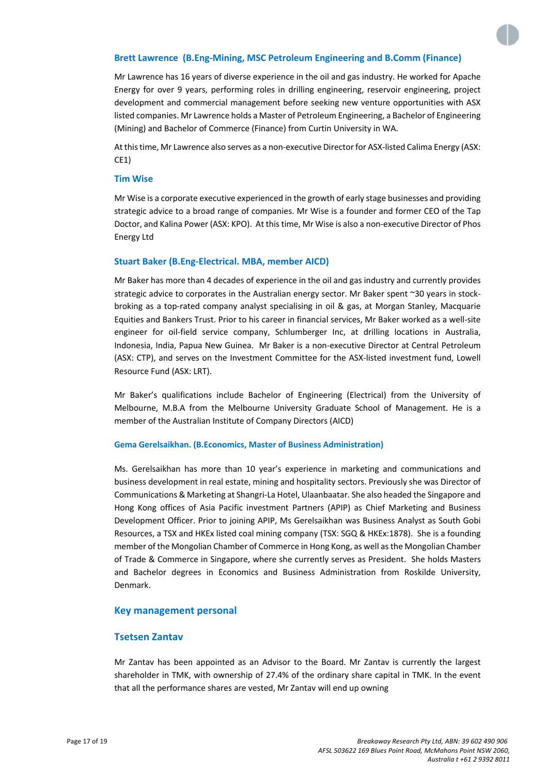#### **Brett Lawrence (B.Eng-Mining, MSC Petroleum Engineering and B.Comm (Finance)**

Mr Lawrence has 16 years of diverse experience in the oil and gas industry. He worked for Apache Energy for over 9 years, performing roles in drilling engineering, reservoir engineering, project development and commercial management before seeking new venture opportunities with ASX listed companies. Mr Lawrence holds a Master of Petroleum Engineering, a Bachelor of Engineering (Mining) and Bachelor of Commerce (Finance) from Curtin University in WA.

At this time, Mr Lawrence also serves as a non-executive Director for ASX-listed Calima Energy (ASX: CE1)

#### **Tim Wise**

Mr Wise is a corporate executive experienced in the growth of early stage businesses and providing strategic advice to a broad range of companies. Mr Wise is a founder and former CEO of the Tap Doctor, and Kalina Power (ASX: KPO). At this time, Mr Wise is also a non-executive Director of Phos Energy Ltd

#### **Stuart Baker (B.Eng-Electrical. MBA, member AICD)**

Mr Baker has more than 4 decades of experience in the oil and gas industry and currently provides strategic advice to corporates in the Australian energy sector. Mr Baker spent ~30 years in stockbroking as a top-rated company analyst specialising in oil & gas, at Morgan Stanley, Macquarie Equities and Bankers Trust. Prior to his career in financial services, Mr Baker worked as a well-site engineer for oil-field service company, Schlumberger Inc, at drilling locations in Australia, Indonesia, India, Papua New Guinea. Mr Baker is a non-executive Director at Central Petroleum (ASX: CTP), and serves on the Investment Committee for the ASX-listed investment fund, Lowell Resource Fund (ASX: LRT).

Mr Baker's qualifications include Bachelor of Engineering (Electrical) from the University of Melbourne, M.B.A from the Melbourne University Graduate School of Management. He is a member of the Australian Institute of Company Directors (AICD)

#### **Gema Gerelsaikhan. (B.Economics, Master of Business Administration)**

Ms. Gerelsaikhan has more than 10 year's experience in marketing and communications and business development in real estate, mining and hospitality sectors. Previously she was Director of Communications & Marketing at Shangri-La Hotel, Ulaanbaatar. She also headed the Singapore and Hong Kong offices of Asia Pacific investment Partners (APIP) as Chief Marketing and Business Development Officer. Prior to joining APIP, Ms Gerelsaikhan was Business Analyst as South Gobi Resources, a TSX and HKEx listed coal mining company (TSX: SGQ & HKEx:1878). She is a founding member of the Mongolian Chamber of Commerce in Hong Kong, as well as the Mongolian Chamber of Trade & Commerce in Singapore, where she currently serves as President. She holds Masters and Bachelor degrees in Economics and Business Administration from Roskilde University, Denmark.

#### **Key management personal**

#### **Tsetsen Zantav**

Mr Zantav has been appointed as an Advisor to the Board. Mr Zantav is currently the largest shareholder in TMK, with ownership of 27.4% of the ordinary share capital in TMK. In the event that all the performance shares are vested, Mr Zantav will end up owning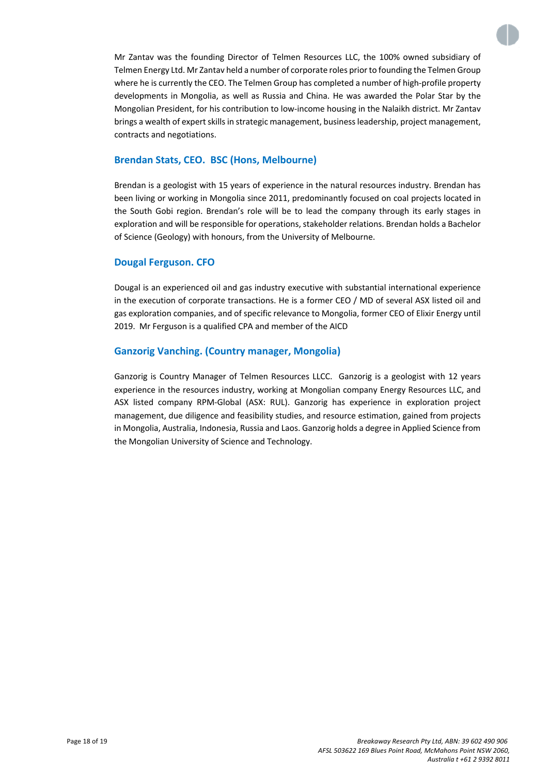

Mr Zantav was the founding Director of Telmen Resources LLC, the 100% owned subsidiary of Telmen Energy Ltd. Mr Zantav held a number of corporate roles prior to founding the Telmen Group where he is currently the CEO. The Telmen Group has completed a number of high-profile property developments in Mongolia, as well as Russia and China. He was awarded the Polar Star by the Mongolian President, for his contribution to low-income housing in the Nalaikh district. Mr Zantav brings a wealth of expert skills in strategic management, business leadership, project management, contracts and negotiations.

## **Brendan Stats, CEO. BSC (Hons, Melbourne)**

Brendan is a geologist with 15 years of experience in the natural resources industry. Brendan has been living or working in Mongolia since 2011, predominantly focused on coal projects located in the South Gobi region. Brendan's role will be to lead the company through its early stages in exploration and will be responsible for operations, stakeholder relations. Brendan holds a Bachelor of Science (Geology) with honours, from the University of Melbourne.

## **Dougal Ferguson. CFO**

Dougal is an experienced oil and gas industry executive with substantial international experience in the execution of corporate transactions. He is a former CEO / MD of several ASX listed oil and gas exploration companies, and of specific relevance to Mongolia, former CEO of Elixir Energy until 2019. Mr Ferguson is a qualified CPA and member of the AICD

## **Ganzorig Vanching. (Country manager, Mongolia)**

Ganzorig is Country Manager of Telmen Resources LLCC. Ganzorig is a geologist with 12 years experience in the resources industry, working at Mongolian company Energy Resources LLC, and ASX listed company RPM-Global (ASX: RUL). Ganzorig has experience in exploration project management, due diligence and feasibility studies, and resource estimation, gained from projects in Mongolia, Australia, Indonesia, Russia and Laos. Ganzorig holds a degree in Applied Science from the Mongolian University of Science and Technology.